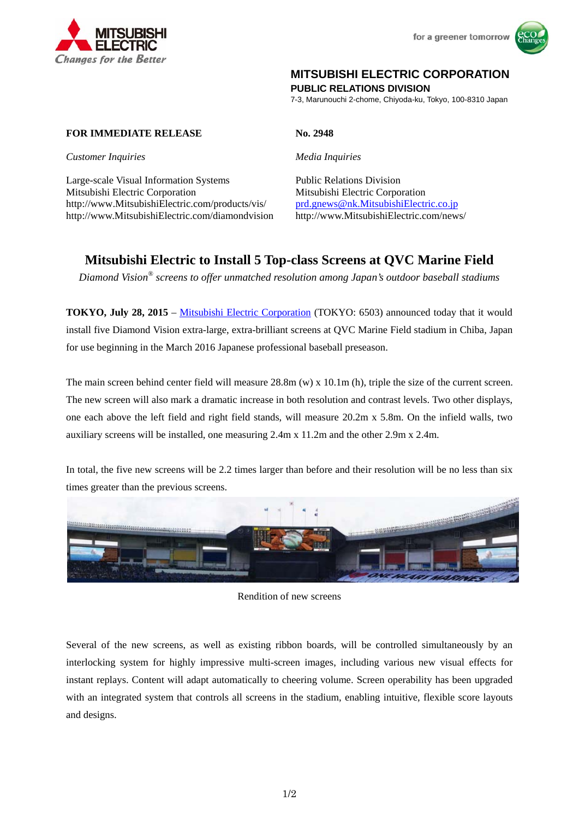



# **MITSUBISHI ELECTRIC CORPORATION**

**PUBLIC RELATIONS DIVISION** 

7-3, Marunouchi 2-chome, Chiyoda-ku, Tokyo, 100-8310 Japan

## **FOR IMMEDIATE RELEASE No. 2948**

*Customer Inquiries Media Inquiries*

Large-scale Visual Information Systems Public Relations Division Mitsubishi Electric Corporation Mitsubishi Electric Corporation http://www.MitsubishiElectric.com/products/vis/ prd.gnews@nk.MitsubishiElectric.co.jp http://www.MitsubishiElectric.com/diamondvision http://www.MitsubishiElectric.com/news/

# **Mitsubishi Electric to Install 5 Top-class Screens at QVC Marine Field**

*Diamond Vision® screens to offer unmatched resolution among Japan's outdoor baseball stadiums* 

**TOKYO, July 28, 2015** – Mitsubishi Electric Corporation (TOKYO: 6503) announced today that it would install five Diamond Vision extra-large, extra-brilliant screens at QVC Marine Field stadium in Chiba, Japan for use beginning in the March 2016 Japanese professional baseball preseason.

The main screen behind center field will measure 28.8m (w) x 10.1m (h), triple the size of the current screen. The new screen will also mark a dramatic increase in both resolution and contrast levels. Two other displays, one each above the left field and right field stands, will measure 20.2m x 5.8m. On the infield walls, two auxiliary screens will be installed, one measuring 2.4m x 11.2m and the other 2.9m x 2.4m.

In total, the five new screens will be 2.2 times larger than before and their resolution will be no less than six times greater than the previous screens.



Rendition of new screens

Several of the new screens, as well as existing ribbon boards, will be controlled simultaneously by an interlocking system for highly impressive multi-screen images, including various new visual effects for instant replays. Content will adapt automatically to cheering volume. Screen operability has been upgraded with an integrated system that controls all screens in the stadium, enabling intuitive, flexible score layouts and designs.